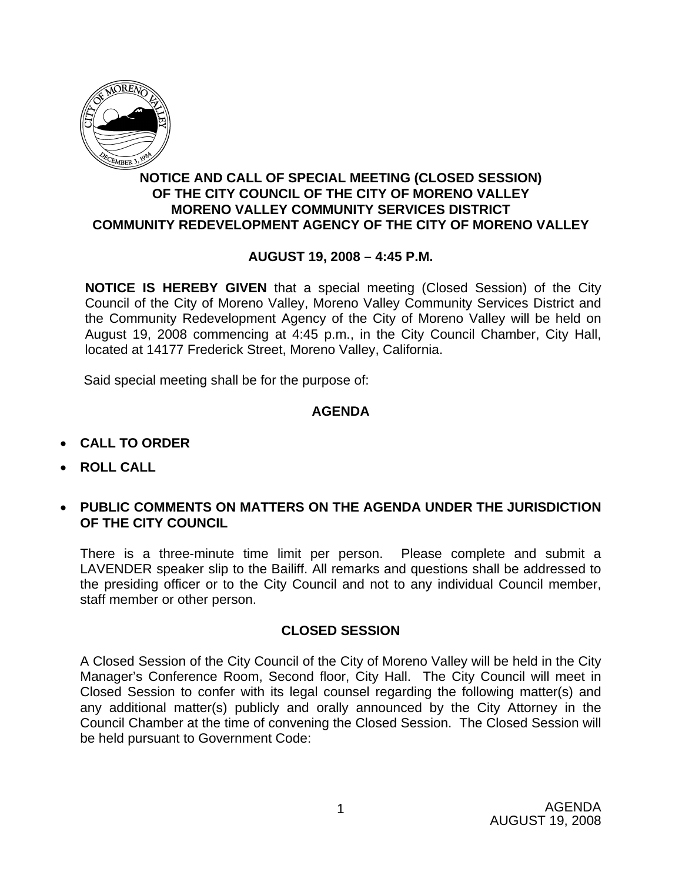

## **NOTICE AND CALL OF SPECIAL MEETING (CLOSED SESSION) OF THE CITY COUNCIL OF THE CITY OF MORENO VALLEY MORENO VALLEY COMMUNITY SERVICES DISTRICT COMMUNITY REDEVELOPMENT AGENCY OF THE CITY OF MORENO VALLEY**

## **AUGUST 19, 2008 – 4:45 P.M.**

**NOTICE IS HEREBY GIVEN** that a special meeting (Closed Session) of the City Council of the City of Moreno Valley, Moreno Valley Community Services District and the Community Redevelopment Agency of the City of Moreno Valley will be held on August 19, 2008 commencing at 4:45 p.m., in the City Council Chamber, City Hall, located at 14177 Frederick Street, Moreno Valley, California.

Said special meeting shall be for the purpose of:

## **AGENDA**

- **CALL TO ORDER**
- **ROLL CALL**
- **PUBLIC COMMENTS ON MATTERS ON THE AGENDA UNDER THE JURISDICTION OF THE CITY COUNCIL**

There is a three-minute time limit per person. Please complete and submit a LAVENDER speaker slip to the Bailiff. All remarks and questions shall be addressed to the presiding officer or to the City Council and not to any individual Council member, staff member or other person.

## **CLOSED SESSION**

A Closed Session of the City Council of the City of Moreno Valley will be held in the City Manager's Conference Room, Second floor, City Hall. The City Council will meet in Closed Session to confer with its legal counsel regarding the following matter(s) and any additional matter(s) publicly and orally announced by the City Attorney in the Council Chamber at the time of convening the Closed Session. The Closed Session will be held pursuant to Government Code: